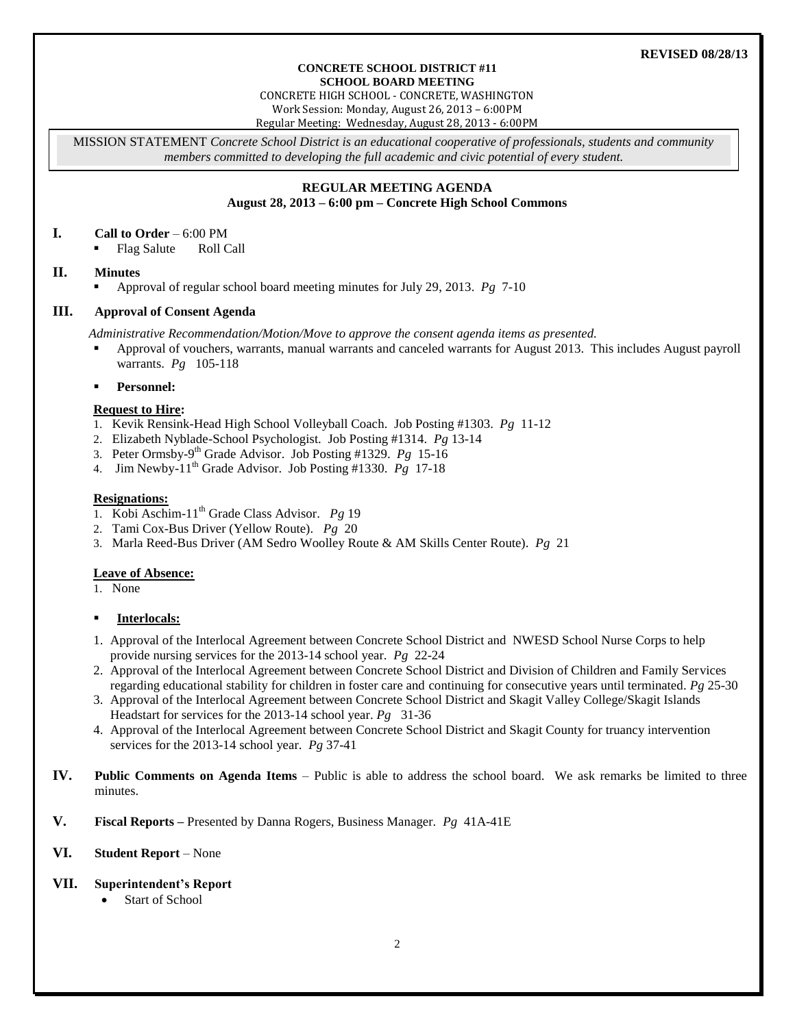#### **REVISED 08/28/13**

#### **CONCRETE SCHOOL DISTRICT #11 SCHOOL BOARD MEETING**

CONCRETE HIGH SCHOOL - CONCRETE, WASHINGTON Work Session: Monday, August 26, 2013 – 6:00PM

Regular Meeting: Wednesday, August 28, 2013 - 6:00PM

MISSION STATEMENT *Concrete School District is an educational cooperative of professionals, students and community members committed to developing the full academic and civic potential of every student.*

#### **REGULAR MEETING AGENDA August 28, 2013 – 6:00 pm – Concrete High School Commons**

#### **I. Call to Order** – 6:00 PM

Flag Salute Roll Call

### **II. Minutes**

Approval of regular school board meeting minutes for July 29, 2013. *Pg* 7-10

### **III. Approval of Consent Agenda**

*Administrative Recommendation/Motion/Move to approve the consent agenda items as presented.*

 Approval of vouchers, warrants, manual warrants and canceled warrants for August 2013. This includes August payroll warrants. *Pg* 105-118

### **Personnel:**

### **Request to Hire:**

- 1. Kevik Rensink-Head High School Volleyball Coach. Job Posting #1303. *Pg* 11-12
- 2. Elizabeth Nyblade-School Psychologist. Job Posting #1314. *Pg* 13-14
- 3. Peter Ormsby-9 th Grade Advisor. Job Posting #1329. *Pg* 15-16
- 4. Jim Newby-11th Grade Advisor. Job Posting #1330. *Pg* 17-18

### **Resignations:**

- 1. Kobi Aschim-11th Grade Class Advisor. *Pg* 19
- 2. Tami Cox-Bus Driver (Yellow Route). *Pg* 20
- 3. Marla Reed-Bus Driver (AM Sedro Woolley Route & AM Skills Center Route). *Pg* 21

### **Leave of Absence:**

1. None

### **Interlocals:**

- 1. Approval of the Interlocal Agreement between Concrete School District and NWESD School Nurse Corps to help provide nursing services for the 2013-14 school year. *Pg* 22-24
- 2. Approval of the Interlocal Agreement between Concrete School District and Division of Children and Family Services regarding educational stability for children in foster care and continuing for consecutive years until terminated. *Pg* 25-30
- 3. Approval of the Interlocal Agreement between Concrete School District and Skagit Valley College/Skagit Islands Headstart for services for the 2013-14 school year. *Pg* 31-36
- 4. Approval of the Interlocal Agreement between Concrete School District and Skagit County for truancy intervention services for the 2013-14 school year. *Pg* 37-41
- **IV. Public Comments on Agenda Items** Public is able to address the school board. We ask remarks be limited to three minutes.
- **V. Fiscal Reports –** Presented by Danna Rogers, Business Manager. *Pg* 41A-41E

# **VI. Student Report** – None

### **VII. Superintendent's Report**

Start of School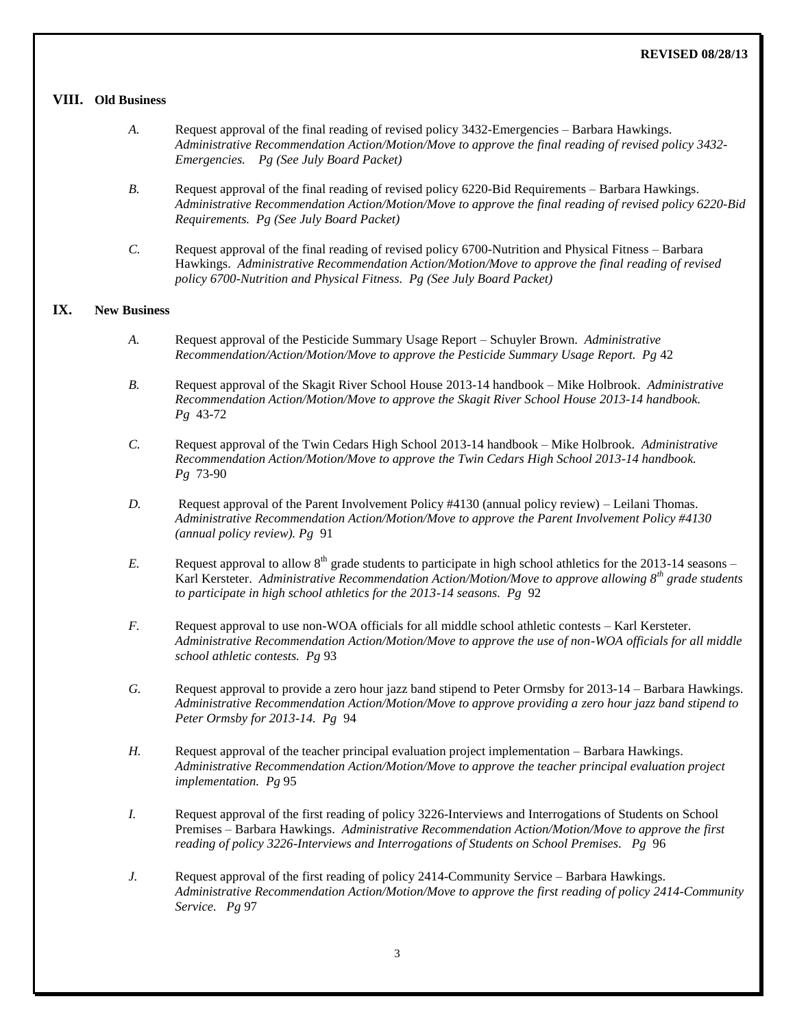### **REVISED 08/28/13**

### **VIII. Old Business**

- *A.* Request approval of the final reading of revised policy 3432-Emergencies Barbara Hawkings. *Administrative Recommendation Action/Motion/Move to approve the final reading of revised policy 3432- Emergencies. Pg (See July Board Packet)*
- *B.* Request approval of the final reading of revised policy 6220-Bid Requirements Barbara Hawkings. *Administrative Recommendation Action/Motion/Move to approve the final reading of revised policy 6220-Bid Requirements. Pg (See July Board Packet)*
- *C.* Request approval of the final reading of revised policy 6700-Nutrition and Physical Fitness Barbara Hawkings. *Administrative Recommendation Action/Motion/Move to approve the final reading of revised policy 6700-Nutrition and Physical Fitness. Pg (See July Board Packet)*

# **IX. New Business**

- *A.* Request approval of the Pesticide Summary Usage Report Schuyler Brown. *Administrative Recommendation/Action/Motion/Move to approve the Pesticide Summary Usage Report. Pg* 42
- *B.* Request approval of the Skagit River School House 2013-14 handbook Mike Holbrook. *Administrative Recommendation Action/Motion/Move to approve the Skagit River School House 2013-14 handbook. Pg* 43-72
- *C.* Request approval of the Twin Cedars High School 2013-14 handbook Mike Holbrook. *Administrative Recommendation Action/Motion/Move to approve the Twin Cedars High School 2013-14 handbook. Pg* 73-90
- *D.* Request approval of the Parent Involvement Policy #4130 (annual policy review) Leilani Thomas. *Administrative Recommendation Action/Motion/Move to approve the Parent Involvement Policy #4130 (annual policy review). Pg* 91
- *E.* Request approval to allow  $8<sup>th</sup>$  grade students to participate in high school athletics for the 2013-14 seasons Karl Kersteter. *Administrative Recommendation Action/Motion/Move to approve allowing 8th grade students to participate in high school athletics for the 2013-14 seasons. Pg* 92
- *F.* Request approval to use non-WOA officials for all middle school athletic contests Karl Kersteter. *Administrative Recommendation Action/Motion/Move to approve the use of non-WOA officials for all middle school athletic contests. Pg* 93
- *G.* Request approval to provide a zero hour jazz band stipend to Peter Ormsby for 2013-14 Barbara Hawkings. *Administrative Recommendation Action/Motion/Move to approve providing a zero hour jazz band stipend to Peter Ormsby for 2013-14. Pg* 94
- *H.* Request approval of the teacher principal evaluation project implementation Barbara Hawkings. *Administrative Recommendation Action/Motion/Move to approve the teacher principal evaluation project implementation. Pg* 95
- *I.* Request approval of the first reading of policy 3226-Interviews and Interrogations of Students on School Premises – Barbara Hawkings. *Administrative Recommendation Action/Motion/Move to approve the first reading of policy 3226-Interviews and Interrogations of Students on School Premises. Pg* 96
- *J.* Request approval of the first reading of policy 2414-Community Service Barbara Hawkings. *Administrative Recommendation Action/Motion/Move to approve the first reading of policy 2414-Community Service. Pg* 97